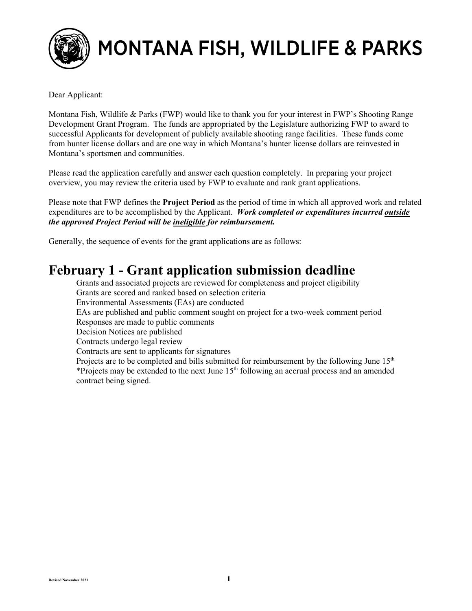

# MONTANA FISH, WILDLIFE & PARKS

Dear Applicant:

Montana Fish, Wildlife & Parks (FWP) would like to thank you for your interest in FWP's Shooting Range Development Grant Program. The funds are appropriated by the Legislature authorizing FWP to award to successful Applicants for development of publicly available shooting range facilities. These funds come from hunter license dollars and are one way in which Montana's hunter license dollars are reinvested in Montana's sportsmen and communities.

Please read the application carefully and answer each question completely. In preparing your project overview, you may review the criteria used by FWP to evaluate and rank grant applications.

Please note that FWP defines the **Project Period** as the period of time in which all approved work and related expenditures are to be accomplished by the Applicant. *Work completed or expenditures incurred outside the approved Project Period will be ineligible for reimbursement.*

Generally, the sequence of events for the grant applications are as follows:

## **February 1 - Grant application submission deadline**

Grants and associated projects are reviewed for completeness and project eligibility Grants are scored and ranked based on selection criteria Environmental Assessments (EAs) are conducted EAs are published and public comment sought on project for a two-week comment period Responses are made to public comments Decision Notices are published Contracts undergo legal review Contracts are sent to applicants for signatures Projects are to be completed and bills submitted for reimbursement by the following June  $15<sup>th</sup>$ \*Projects may be extended to the next June  $15<sup>th</sup>$  following an accrual process and an amended contract being signed.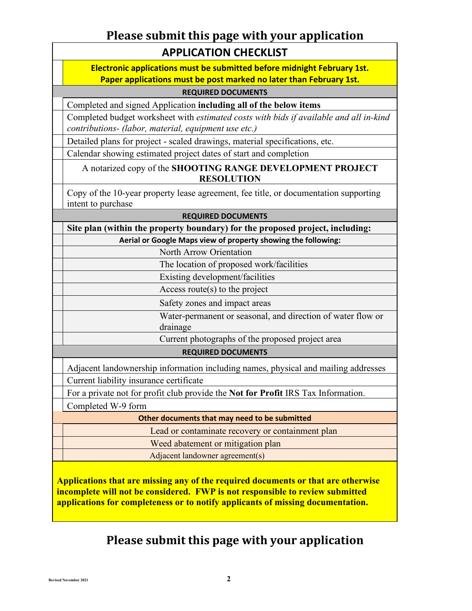### **Please submit this page with your application APPLICATION CHECKLIST**

**Electronic applications must be submitted before midnight February 1st. Paper applications must be post marked no later than February 1st.**

#### **REQUIRED DOCUMENTS**

Completed and signed Application **including all of the below items**

Completed budget worksheet with *estimated costs with bids if available and all in-kind contributions- (labor, material, equipment use etc.)*

Detailed plans for project - scaled drawings, material specifications, etc.

Calendar showing estimated project dates of start and completion

A notarized copy of the **SHOOTING RANGE DEVELOPMENT PROJECT RESOLUTION**

Copy of the 10-year property lease agreement, fee title, or documentation supporting intent to purchase

#### **REQUIRED DOCUMENTS**

**Site plan (within the property boundary) for the proposed project, including: Aerial or Google Maps view of property showing the following:**

North Arrow Orientation

The location of proposed work/facilities

Existing development/facilities

Access route(s) to the project

Safety zones and impact areas

Water-permanent or seasonal, and direction of water flow or drainage

Current photographs of the proposed project area

#### **REQUIRED DOCUMENTS**

Adjacent landownership information including names, physical and mailing addresses Current liability insurance certificate

For a private not for profit club provide the **Not for Profit** IRS Tax Information.

Completed W-9 form

**Other documents that may need to be submitted**

Lead or contaminate recovery or containment plan

Weed abatement or mitigation plan

Adjacent landowner agreement(s)

**Applications that are missing any of the required documents or that are otherwise incomplete will not be considered. FWP is not responsible to review submitted applications for completeness or to notify applicants of missing documentation.**

### **Please submit this page with your application**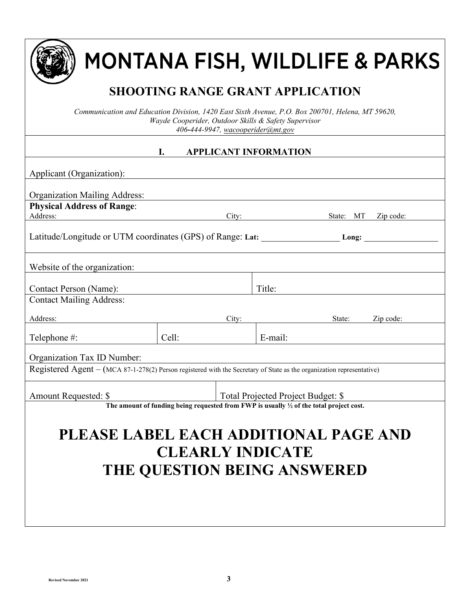

# MONTANA FISH, WILDLIFE & PARKS

# **SHOOTING RANGE GRANT APPLICATION**

*Communication and Education Division, 1420 East Sixth Avenue, P.O. Box 200701, Helena, MT 59620, Wayde Cooperider, Outdoor Skills & Safety Supervisor 406***-***444-9947, [wacooperider@mt.gov](mailto:wacooperider@mt.gov)*

#### **I. APPLICANT INFORMATION**

| Applicant (Organization):                                                                                             |                                                                                                    |       |         |           |           |
|-----------------------------------------------------------------------------------------------------------------------|----------------------------------------------------------------------------------------------------|-------|---------|-----------|-----------|
|                                                                                                                       |                                                                                                    |       |         |           |           |
| <b>Organization Mailing Address:</b>                                                                                  |                                                                                                    |       |         |           |           |
| <b>Physical Address of Range:</b>                                                                                     |                                                                                                    |       |         |           |           |
| Address:                                                                                                              |                                                                                                    |       | City:   | State: MT | Zip code: |
| Latitude/Longitude or UTM coordinates (GPS) of Range: Lat: Long: Long:                                                |                                                                                                    |       |         |           |           |
| Website of the organization:                                                                                          |                                                                                                    |       |         |           |           |
| Contact Person (Name):                                                                                                |                                                                                                    |       | Title:  |           |           |
| <b>Contact Mailing Address:</b>                                                                                       |                                                                                                    |       |         |           |           |
| Address:                                                                                                              |                                                                                                    | City: |         | State:    | Zip code: |
| Telephone #:                                                                                                          | Cell:                                                                                              |       | E-mail: |           |           |
| Organization Tax ID Number:                                                                                           |                                                                                                    |       |         |           |           |
| Registered Agent – (MCA 87-1-278(2) Person registered with the Secretary of State as the organization representative) |                                                                                                    |       |         |           |           |
| Amount Requested: \$<br>Total Projected Project Budget: \$                                                            |                                                                                                    |       |         |           |           |
|                                                                                                                       | The amount of funding being requested from FWP is usually $\frac{1}{2}$ of the total project cost. |       |         |           |           |
| PLEASE LABEL EACH ADDITIONAL PAGE AND<br><b>CLEARLY INDICATE</b><br><b>THE QUESTION BEING ANSWERED</b>                |                                                                                                    |       |         |           |           |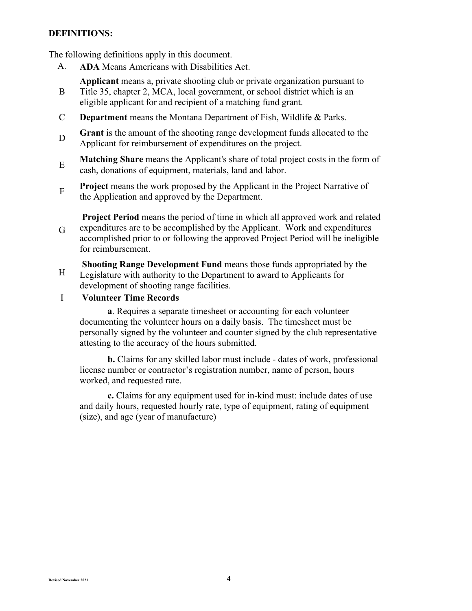#### **DEFINITIONS:**

The following definitions apply in this document.

A. **ADA** Means Americans with Disabilities Act.

**Applicant** means a, private shooting club or private organization pursuant to

- B Title 35, chapter 2, MCA, local government, or school district which is an eligible applicant for and recipient of a matching fund grant.
- C **Department** means the Montana Department of Fish, Wildlife & Parks.
- <sup>D</sup> **Grant** is the amount of the shooting range development funds allocated to the Applicant for reimbursement of expenditures on the project.
- <sup>E</sup> **Matching Share** means the Applicant's share of total project costs in the form of cash, donations of equipment, materials, land and labor.
- **Project** means the work proposed by the Applicant in the Project Narrative of the Application and approved by the Department.

G **Project Period** means the period of time in which all approved work and related expenditures are to be accomplished by the Applicant. Work and expenditures accomplished prior to or following the approved Project Period will be ineligible for reimbursement.

H **Shooting Range Development Fund** means those funds appropriated by the Legislature with authority to the Department to award to Applicants for development of shooting range facilities.

I **Volunteer Time Records** 

**a**. Requires a separate timesheet or accounting for each volunteer documenting the volunteer hours on a daily basis. The timesheet must be personally signed by the volunteer and counter signed by the club representative attesting to the accuracy of the hours submitted.

**b.** Claims for any skilled labor must include - dates of work, professional license number or contractor's registration number, name of person, hours worked, and requested rate.

**c.** Claims for any equipment used for in-kind must: include dates of use and daily hours, requested hourly rate, type of equipment, rating of equipment (size), and age (year of manufacture)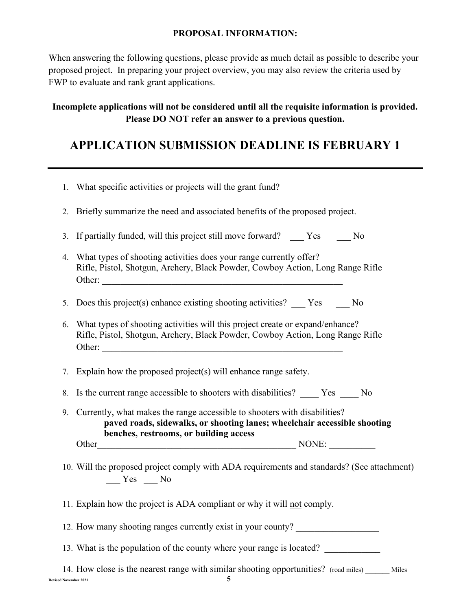#### **PROPOSAL INFORMATION:**

When answering the following questions, please provide as much detail as possible to describe your proposed project. In preparing your project overview, you may also review the criteria used by FWP to evaluate and rank grant applications.

#### **Incomplete applications will not be considered until all the requisite information is provided. Please DO NOT refer an answer to a previous question.**

### **APPLICATION SUBMISSION DEADLINE IS FEBRUARY 1**

|    | 1. What specific activities or projects will the grant fund?                                                                                                                                        |
|----|-----------------------------------------------------------------------------------------------------------------------------------------------------------------------------------------------------|
| 2. | Briefly summarize the need and associated benefits of the proposed project.                                                                                                                         |
| 3. | If partially funded, will this project still move forward? ___ Yes ___ No                                                                                                                           |
| 4. | What types of shooting activities does your range currently offer?<br>Rifle, Pistol, Shotgun, Archery, Black Powder, Cowboy Action, Long Range Rifle                                                |
|    | 5. Does this project(s) enhance existing shooting activities? ___ Yes ___ No                                                                                                                        |
| 6. | What types of shooting activities will this project create or expand/enhance?<br>Rifle, Pistol, Shotgun, Archery, Black Powder, Cowboy Action, Long Range Rifle<br>Other:                           |
|    | 7. Explain how the proposed project(s) will enhance range safety.                                                                                                                                   |
| 8. | Is the current range accessible to shooters with disabilities? _____ Yes _____ No                                                                                                                   |
|    | 9. Currently, what makes the range accessible to shooters with disabilities?<br>paved roads, sidewalks, or shooting lanes; wheelchair accessible shooting<br>benches, restrooms, or building access |
|    |                                                                                                                                                                                                     |
|    | 10. Will the proposed project comply with ADA requirements and standards? (See attachment)<br>$Yes$ No                                                                                              |
|    | 11. Explain how the project is ADA compliant or why it will not comply.                                                                                                                             |
|    | 12. How many shooting ranges currently exist in your county?                                                                                                                                        |
|    | 13. What is the population of the county where your range is located?                                                                                                                               |
|    | 14. How close is the nearest range with similar shooting opportunities? (road miles) ______ Miles<br><b>Revised November 2021</b>                                                                   |
|    |                                                                                                                                                                                                     |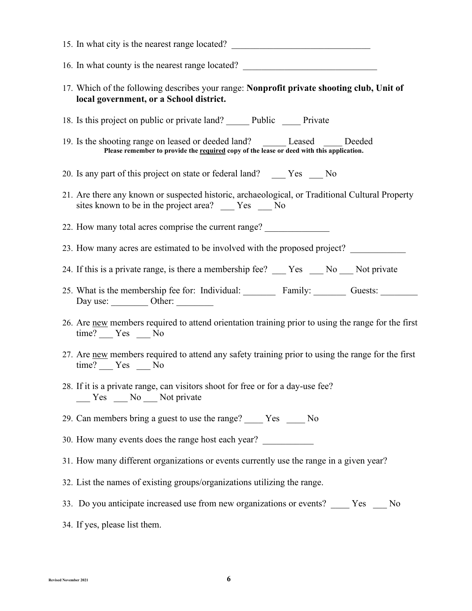| 15. In what city is the nearest range located?                                                                                                                                |
|-------------------------------------------------------------------------------------------------------------------------------------------------------------------------------|
| 16. In what county is the nearest range located? _______________________________                                                                                              |
| 17. Which of the following describes your range: Nonprofit private shooting club, Unit of<br>local government, or a School district.                                          |
| 18. Is this project on public or private land? Public Private                                                                                                                 |
| 19. Is the shooting range on leased or deeded land? ________ Leased ______ Deeded<br>Please remember to provide the required copy of the lease or deed with this application. |
| 20. Is any part of this project on state or federal land? _____ Yes ____ No                                                                                                   |
| 21. Are there any known or suspected historic, archaeological, or Traditional Cultural Property<br>sites known to be in the project area? ____ Yes ___ No                     |
| 22. How many total acres comprise the current range?                                                                                                                          |
| 23. How many acres are estimated to be involved with the proposed project?                                                                                                    |
| 24. If this is a private range, is there a membership fee? ___ Yes __ No __ Not private                                                                                       |
| 25. What is the membership fee for: Individual: Family: Guests: Guests:<br>Day use: ___________ Other: _________                                                              |
| 26. Are new members required to attend orientation training prior to using the range for the first<br>$time?$ $Yes$ $No$                                                      |
| 27. Are new members required to attend any safety training prior to using the range for the first<br>$time?$ $Yes$ $No$                                                       |
| 28. If it is a private range, can visitors shoot for free or for a day-use fee?<br>$\frac{1}{\sqrt{1-\frac{1}{2}}}$ Yes $\frac{1}{\sqrt{1-\frac{1}{2}}}$ Not private          |
| 29. Can members bring a guest to use the range? _____ Yes _____ No                                                                                                            |
| 30. How many events does the range host each year?                                                                                                                            |
| 31. How many different organizations or events currently use the range in a given year?                                                                                       |
| 32. List the names of existing groups/organizations utilizing the range.                                                                                                      |
| 33. Do you anticipate increased use from new organizations or events? ____ Yes ___ No                                                                                         |
| 34. If yes, please list them.                                                                                                                                                 |
|                                                                                                                                                                               |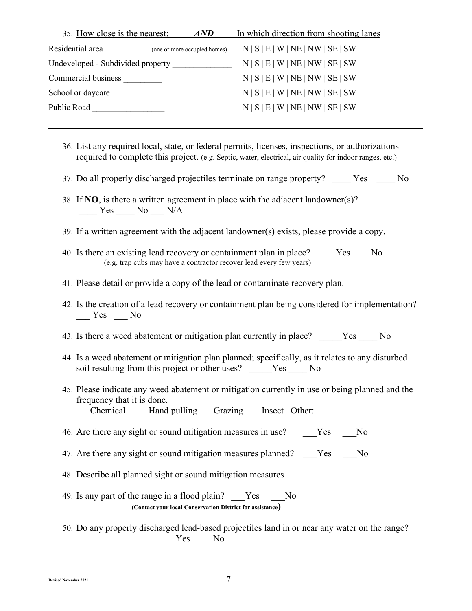| 35. How close is the nearest:<br>AND          | In which direction from shooting lanes |
|-----------------------------------------------|----------------------------------------|
| Residential area (one or more occupied homes) | N   S   E   W   NE   NW   SE   SW      |
| Undeveloped - Subdivided property             | N   S   E   W   NE   NW   SE   SW      |
| Commercial business                           | N   S   E   W   NE   NW   SE   SW      |
| School or daycare                             | N   S   E   W   NE   NW   SE   SW      |
| Public Road                                   | N   S   E   W   NE   NW   SE   SW      |
|                                               |                                        |

- 36. List any required local, state, or federal permits, licenses, inspections, or authorizations required to complete this project. (e.g. Septic, water, electrical, air quality for indoor ranges, etc.)
- 37. Do all properly discharged projectiles terminate on range property? Yes No
- 38. If **NO**, is there a written agreement in place with the adjacent landowner(s)? Yes No N/A
- 39. If a written agreement with the adjacent landowner(s) exists, please provide a copy.
- 40. Is there an existing lead recovery or containment plan in place? \_\_\_\_\_Yes \_\_\_No (e.g. trap cubs may have a contractor recover lead every few years)
- 41. Please detail or provide a copy of the lead or contaminate recovery plan.
- 42. Is the creation of a lead recovery or containment plan being considered for implementation?  $Yes$  No
- 43. Is there a weed abatement or mitigation plan currently in place? \_\_\_\_\_Yes \_\_\_\_ No
- 44. Is a weed abatement or mitigation plan planned; specifically, as it relates to any disturbed soil resulting from this project or other uses? \_\_\_\_\_Yes \_\_\_\_ No
- 45. Please indicate any weed abatement or mitigation currently in use or being planned and the frequency that it is done.

Chemical Hand pulling Grazing Insect Other:

- 46. Are there any sight or sound mitigation measures in use? \_\_\_\_Yes \_\_\_\_No
- 47. Are there any sight or sound mitigation measures planned? \_\_\_Yes \_\_\_No
- 48. Describe all planned sight or sound mitigation measures
- 49. Is any part of the range in a flood plain? \_\_\_Yes \_\_\_No **(Contact your local Conservation District for assistance)**
- 50. Do any properly discharged lead-based projectiles land in or near any water on the range? Yes No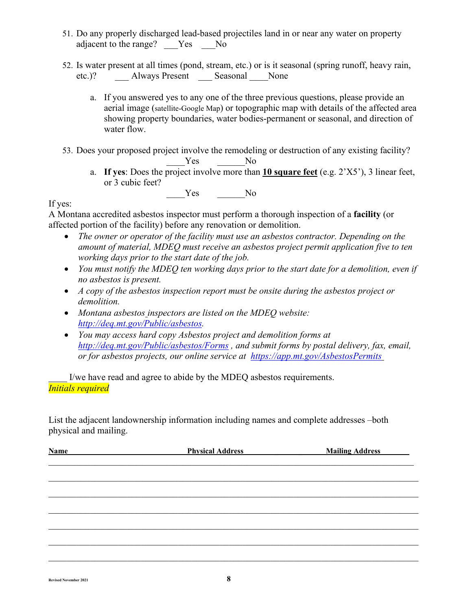- 51. Do any properly discharged lead-based projectiles land in or near any water on property adjacent to the range? Yes No
- 52. Is water present at all times (pond, stream, etc.) or is it seasonal (spring runoff, heavy rain, etc.)? \_\_\_ Always Present \_\_\_ Seasonal \_\_\_\_None
	- a. If you answered yes to any one of the three previous questions, please provide an aerial image (satellite-Google Map) or topographic map with details of the affected area showing property boundaries, water bodies-permanent or seasonal, and direction of water flow.

53. Does your proposed project involve the remodeling or destruction of any existing facility?

- \_\_\_\_Yes \_\_\_\_\_\_No
	- a. **If yes**: Does the project involve more than **10 square feet** (e.g. 2'X5'), 3 linear feet, or 3 cubic feet?

Yes No

#### If yes:

A Montana accredited asbestos inspector must perform a thorough inspection of a **facility** (or affected portion of the facility) before any renovation or demolition.

- *The owner or operator of the facility must use an asbestos contractor. Depending on the amount of material, MDEQ must receive an asbestos project permit application five to ten working days prior to the start date of the job.*
- *You must notify the MDEQ ten working days prior to the start date for a demolition, even if no asbestos is present.*
- *A copy of the asbestos inspection report must be onsite during the asbestos project or demolition.*
- *Montana asbestos inspectors are listed on the MDEQ website: [http://deq.mt.gov/Public/asbestos.](http://deq.mt.gov/Public/asbestos)*
- *You may access hard copy Asbestos project and demolition forms at <http://deq.mt.gov/Public/asbestos/Forms> , and submit forms by postal delivery, fax, email, or for asbestos projects, our online service at <https://app.mt.gov/AsbestosPermits>*

I/we have read and agree to abide by the MDEQ asbestos requirements. *Initials required*

List the adjacent landownership information including names and complete addresses –both physical and mailing.

| <b>Physical Address</b> | <b>Mailing Address</b> |  |  |
|-------------------------|------------------------|--|--|
|                         |                        |  |  |
|                         |                        |  |  |
|                         |                        |  |  |
|                         |                        |  |  |
|                         |                        |  |  |
|                         |                        |  |  |
|                         |                        |  |  |
|                         |                        |  |  |
|                         |                        |  |  |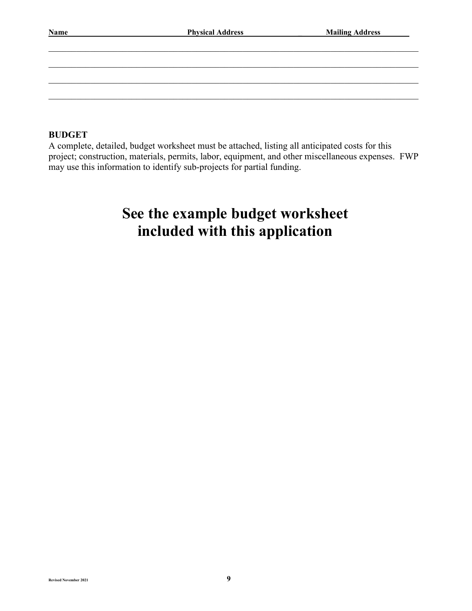| Name | <b>Physical Address</b> | <b>Mailing Address</b> |  |  |
|------|-------------------------|------------------------|--|--|
|      |                         |                        |  |  |
|      |                         |                        |  |  |
|      |                         |                        |  |  |
|      |                         |                        |  |  |
|      |                         |                        |  |  |

#### **BUDGET**

A complete, detailed, budget worksheet must be attached, listing all anticipated costs for this project; construction, materials, permits, labor, equipment, and other miscellaneous expenses. FWP may use this information to identify sub-projects for partial funding.

# **See the example budget worksheet included with this application**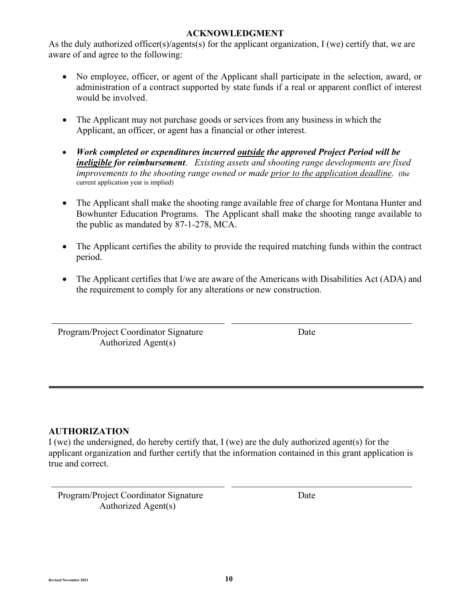#### **ACKNOWLEDGMENT**

As the duly authorized officer(s)/agents(s) for the applicant organization,  $I$  (we) certify that, we are aware of and agree to the following:

- No employee, officer, or agent of the Applicant shall participate in the selection, award, or administration of a contract supported by state funds if a real or apparent conflict of interest would be involved.
- The Applicant may not purchase goods or services from any business in which the Applicant, an officer, or agent has a financial or other interest.
- *Work completed or expenditures incurred outside the approved Project Period will be ineligible for reimbursement*. *Existing assets and shooting range developments are fixed improvements to the shooting range owned or made prior to the application deadline.* (the current application year is implied)
- The Applicant shall make the shooting range available free of charge for Montana Hunter and Bowhunter Education Programs. The Applicant shall make the shooting range available to the public as mandated by 87-1-278, MCA.
- The Applicant certifies the ability to provide the required matching funds within the contract period.
- The Applicant certifies that I/we are aware of the Americans with Disabilities Act (ADA) and the requirement to comply for any alterations or new construction.

Program/Project Coordinator Signature Date Authorized Agent(s)

#### **AUTHORIZATION**

I (we) the undersigned, do hereby certify that, I (we) are the duly authorized agent(s) for the applicant organization and further certify that the information contained in this grant application is true and correct.

Program/Project Coordinator Signature Date Authorized Agent(s)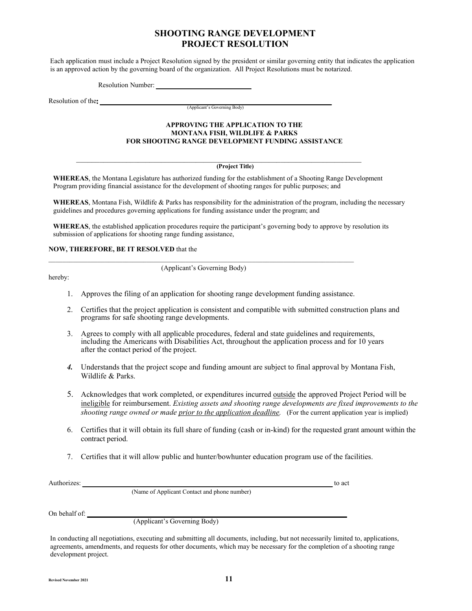#### **SHOOTING RANGE DEVELOPMENT PROJECT RESOLUTION**

Each application must include a Project Resolution signed by the president or similar governing entity that indicates the application is an approved action by the governing board of the organization. All Project Resolutions must be notarized.

Resolution Number:

Resolution of the

(Applicant's Governing Body)

#### **APPROVING THE APPLICATION TO THE MONTANA FISH, WILDLIFE & PARKS FOR SHOOTING RANGE DEVELOPMENT FUNDING ASSISTANCE**

#### **(Project Title)**

**WHEREAS**, the Montana Legislature has authorized funding for the establishment of a Shooting Range Development Program providing financial assistance for the development of shooting ranges for public purposes; and

 $\_$  , and the set of the set of the set of the set of the set of the set of the set of the set of the set of the set of the set of the set of the set of the set of the set of the set of the set of the set of the set of th

WHEREAS, Montana Fish, Wildlife & Parks has responsibility for the administration of the program, including the necessary guidelines and procedures governing applications for funding assistance under the program; and

**WHEREAS**, the established application procedures require the participant's governing body to approve by resolution its submission of applications for shooting range funding assistance,

#### **NOW, THEREFORE, BE IT RESOLVED** that the

hereby:

 $\_$  , and the state of the state of the state of the state of the state of the state of the state of the state of the state of the state of the state of the state of the state of the state of the state of the state of the (Applicant's Governing Body)

- 1. Approves the filing of an application for shooting range development funding assistance.
- 2. Certifies that the project application is consistent and compatible with submitted construction plans and programs for safe shooting range developments.
- 3. Agrees to comply with all applicable procedures, federal and state guidelines and requirements, including the Americans with Disabilities Act, throughout the application process and for 10 years after the contact period of the project.
- *4.* Understands that the project scope and funding amount are subject to final approval by Montana Fish, Wildlife & Parks.
- 5. Acknowledges that work completed, or expenditures incurred outside the approved Project Period will be ineligible for reimbursement. *Existing assets and shooting range developments are fixed improvements to the shooting range owned or made prior to the application deadline.* (For the current application year is implied)
- 6. Certifies that it will obtain its full share of funding (cash or in-kind) for the requested grant amount within the contract period.
- 7. Certifies that it will allow public and hunter/bowhunter education program use of the facilities.

Authorizes: <u>the contract of acts</u> and the contract of acts and the contract of acts and the contract of acts and the contract of acts and the contract of acts and the contract of acts and the contract of acts and the cont

(Name of Applicant Contact and phone number)

On behalf of:

(Applicant's Governing Body)

In conducting all negotiations, executing and submitting all documents, including, but not necessarily limited to, applications, agreements, amendments, and requests for other documents, which may be necessary for the completion of a shooting range development project.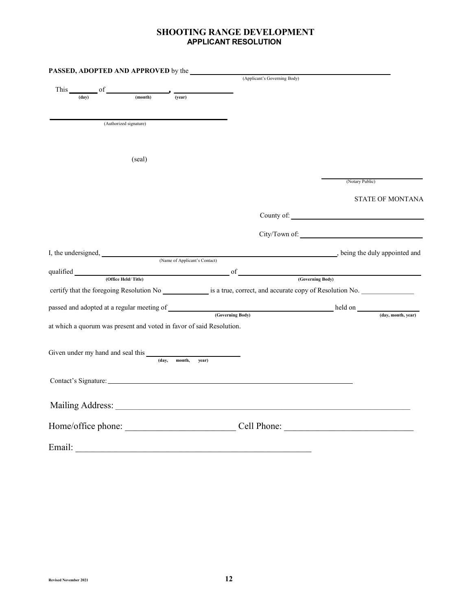#### **SHOOTING RANGE DEVELOPMENT APPLICANT RESOLUTION**

| PASSED, ADOPTED AND APPROVED by the                                   |                        |                               |                                                                                                                                                                                                                               |                 |                         |
|-----------------------------------------------------------------------|------------------------|-------------------------------|-------------------------------------------------------------------------------------------------------------------------------------------------------------------------------------------------------------------------------|-----------------|-------------------------|
|                                                                       |                        |                               | (Applicant's Governing Body)                                                                                                                                                                                                  |                 |                         |
| This of<br>(day)                                                      | (month)                | (vear)                        |                                                                                                                                                                                                                               |                 |                         |
|                                                                       |                        |                               |                                                                                                                                                                                                                               |                 |                         |
|                                                                       |                        |                               |                                                                                                                                                                                                                               |                 |                         |
|                                                                       | (Authorized signature) |                               |                                                                                                                                                                                                                               |                 |                         |
|                                                                       |                        |                               |                                                                                                                                                                                                                               |                 |                         |
|                                                                       |                        |                               |                                                                                                                                                                                                                               |                 |                         |
|                                                                       | (seal)                 |                               |                                                                                                                                                                                                                               |                 |                         |
|                                                                       |                        |                               |                                                                                                                                                                                                                               |                 |                         |
|                                                                       |                        |                               |                                                                                                                                                                                                                               | (Notary Public) |                         |
|                                                                       |                        |                               |                                                                                                                                                                                                                               |                 |                         |
|                                                                       |                        |                               |                                                                                                                                                                                                                               |                 | <b>STATE OF MONTANA</b> |
|                                                                       |                        |                               |                                                                                                                                                                                                                               | County of:      |                         |
|                                                                       |                        |                               |                                                                                                                                                                                                                               |                 |                         |
|                                                                       |                        |                               |                                                                                                                                                                                                                               |                 |                         |
|                                                                       |                        |                               |                                                                                                                                                                                                                               |                 |                         |
|                                                                       |                        | (Name of Applicant's Contact) |                                                                                                                                                                                                                               |                 |                         |
|                                                                       |                        |                               |                                                                                                                                                                                                                               |                 |                         |
|                                                                       |                        |                               | qualified <u>covering Body</u> of Covering Body (Governing Body)                                                                                                                                                              |                 |                         |
|                                                                       |                        |                               | certify that the foregoing Resolution No is a true, correct, and accurate copy of Resolution No.                                                                                                                              |                 |                         |
|                                                                       |                        |                               |                                                                                                                                                                                                                               |                 |                         |
|                                                                       |                        |                               | passed and adopted at a regular meeting of (Governing Body) held on held on (Gay, month, year)                                                                                                                                |                 |                         |
| at which a quorum was present and voted in favor of said Resolution.  |                        |                               |                                                                                                                                                                                                                               |                 |                         |
|                                                                       |                        |                               |                                                                                                                                                                                                                               |                 |                         |
|                                                                       |                        |                               |                                                                                                                                                                                                                               |                 |                         |
| Given under my hand and seal this $\frac{1}{\text{(day, month, ye)}}$ |                        |                               |                                                                                                                                                                                                                               |                 |                         |
|                                                                       |                        | vear)                         |                                                                                                                                                                                                                               |                 |                         |
|                                                                       |                        |                               |                                                                                                                                                                                                                               |                 |                         |
|                                                                       |                        |                               | Contact's Signature: experience and the state of the state of the state of the state of the state of the state of the state of the state of the state of the state of the state of the state of the state of the state of the |                 |                         |
|                                                                       |                        |                               |                                                                                                                                                                                                                               |                 |                         |
|                                                                       |                        |                               |                                                                                                                                                                                                                               |                 |                         |
|                                                                       |                        |                               |                                                                                                                                                                                                                               |                 |                         |
|                                                                       |                        |                               | Home/office phone: Cell Phone: Cell Phone:                                                                                                                                                                                    |                 |                         |
|                                                                       |                        |                               |                                                                                                                                                                                                                               |                 |                         |
| Email:                                                                |                        |                               |                                                                                                                                                                                                                               |                 |                         |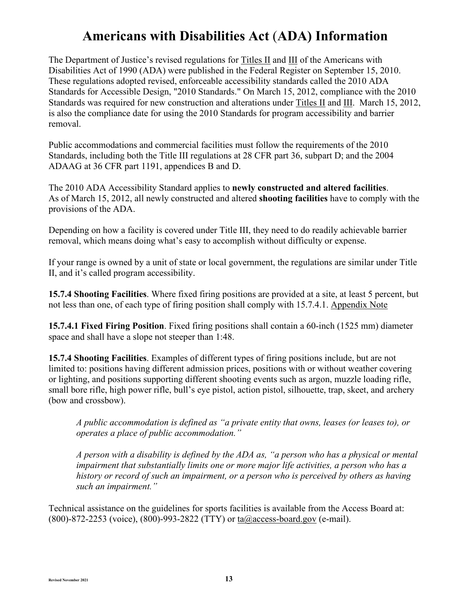## **Americans with Disabilities Act** (**ADA) Information**

The Department of Justice's revised regulations for [Titles II](https://www.ada.gov/regs2010/titleII_2010/titleII_2010_regulations.htm) and [III](https://www.ada.gov/regs2010/titleIII_2010/titleIII_2010_regulations.htm) of the Americans with Disabilities Act of 1990 (ADA) were published in the Federal Register on September 15, 2010. These regulations adopted revised, enforceable accessibility standards called the 2010 ADA Standards for Accessible Design, "2010 Standards." On March 15, 2012, compliance with the 2010 Standards was required for new construction and alterations under [Titles II](https://www.ada.gov/regs2010/titleII_2010/titleII_2010_regulations.htm) and [III.](https://www.ada.gov/regs2010/titleIII_2010/titleIII_2010_regulations.htm) March 15, 2012, is also the compliance date for using the 2010 Standards for program accessibility and barrier removal.

Public accommodations and commercial facilities must follow the requirements of the 2010 Standards, including both the Title III regulations at 28 CFR part 36, subpart D; and the 2004 ADAAG at 36 CFR part 1191, appendices B and D.

The 2010 ADA Accessibility Standard applies to **newly constructed and altered facilities**. As of March 15, 2012, all newly constructed and altered **shooting facilities** have to comply with the provisions of the ADA.

Depending on how a facility is covered under Title III, they need to do readily achievable barrier removal, which means doing what's easy to accomplish without difficulty or expense.

If your range is owned by a unit of state or local government, the regulations are similar under Title II, and it's called program accessibility.

**15.7.4 Shooting Facilities**. Where fixed firing positions are provided at a site, at least 5 percent, but not less than one, of each type of firing position shall comply with 15.7.4.1. [Appendix Note](https://www.access-board.gov/guidelines-and-standards/buildings-and-sites/about-the-ada-standards/background/adaag#A15.7.4)

**15.7.4.1 Fixed Firing Position**. Fixed firing positions shall contain a 60-inch (1525 mm) diameter space and shall have a slope not steeper than 1:48.

**15.7.4 Shooting Facilities**. Examples of different types of firing positions include, but are not limited to: positions having different admission prices, positions with or without weather covering or lighting, and positions supporting different shooting events such as argon, muzzle loading rifle, small bore rifle, high power rifle, bull's eye pistol, action pistol, silhouette, trap, skeet, and archery (bow and crossbow).

*A public accommodation is defined as "a private entity that owns, leases (or leases to), or operates a place of public accommodation."*

*A person with a disability is defined by the ADA as, "a person who has a physical or mental impairment that substantially limits one or more major life activities, a person who has a history or record of such an impairment, or a person who is perceived by others as having such an impairment."*

Technical assistance on the guidelines for sports facilities is available from the Access Board at: (800)-872-2253 (voice), (800)-993-2822 (TTY) or [ta@access-board.gov](mailto:ta@access-board.gov) (e-mail).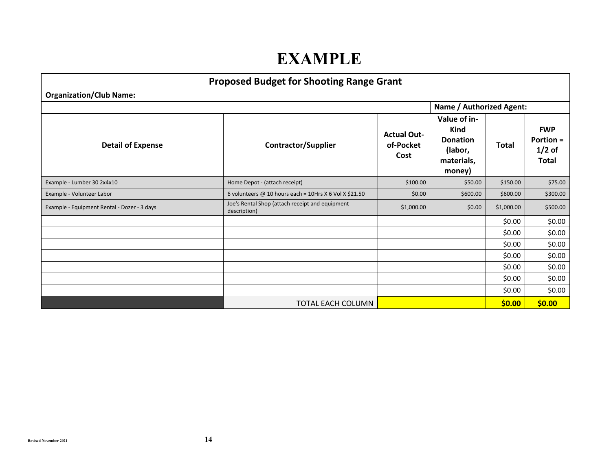# **EXAMPLE**

| <b>Proposed Budget for Shooting Range Grant</b> |                                                                 |                                         |                                                                            |              |                                                     |
|-------------------------------------------------|-----------------------------------------------------------------|-----------------------------------------|----------------------------------------------------------------------------|--------------|-----------------------------------------------------|
| <b>Organization/Club Name:</b>                  |                                                                 |                                         |                                                                            |              |                                                     |
|                                                 |                                                                 |                                         | <b>Name / Authorized Agent:</b>                                            |              |                                                     |
| <b>Detail of Expense</b>                        | <b>Contractor/Supplier</b>                                      | <b>Actual Out-</b><br>of-Pocket<br>Cost | Value of in-<br>Kind<br><b>Donation</b><br>(labor,<br>materials,<br>money) | <b>Total</b> | <b>FWP</b><br><b>Portion =</b><br>$1/2$ of<br>Total |
| Example - Lumber 30 2x4x10                      | Home Depot - (attach receipt)                                   | \$100.00                                | \$50.00                                                                    | \$150.00     | \$75.00                                             |
| Example - Volunteer Labor                       | 6 volunteers @ 10 hours each = 10Hrs X 6 Vol X \$21.50          | \$0.00                                  | \$600.00                                                                   | \$600.00     | \$300.00                                            |
| Example - Equipment Rental - Dozer - 3 days     | Joe's Rental Shop (attach receipt and equipment<br>description) | \$1,000.00                              | \$0.00                                                                     | \$1,000.00   | \$500.00                                            |
|                                                 |                                                                 |                                         |                                                                            | \$0.00       | \$0.00                                              |
|                                                 |                                                                 |                                         |                                                                            | \$0.00       | \$0.00                                              |
|                                                 |                                                                 |                                         |                                                                            | \$0.00       | \$0.00                                              |
|                                                 |                                                                 |                                         |                                                                            | \$0.00       | \$0.00                                              |
|                                                 |                                                                 |                                         |                                                                            | \$0.00       | \$0.00                                              |
|                                                 |                                                                 |                                         |                                                                            | \$0.00       | \$0.00                                              |
|                                                 |                                                                 |                                         |                                                                            | \$0.00       | \$0.00                                              |
|                                                 | TOTAL EACH COLUMN                                               |                                         |                                                                            | \$0.00       | \$0.00                                              |